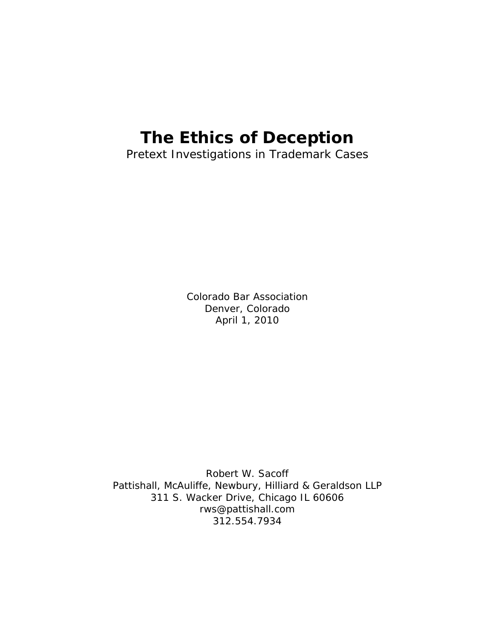# **The Ethics of Deception**

Pretext Investigations in Trademark Cases

Colorado Bar Association Denver, Colorado April 1, 2010

Robert W. Sacoff Pattishall, McAuliffe, Newbury, Hilliard & Geraldson LLP 311 S. Wacker Drive, Chicago IL 60606 rws@pattishall.com 312.554.7934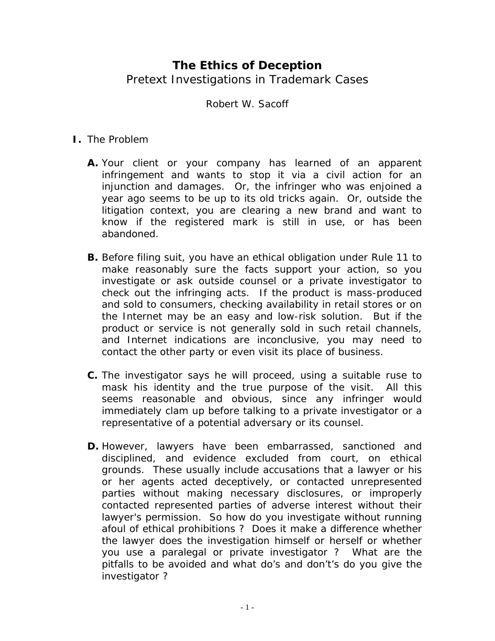# **The Ethics of Deception**  Pretext Investigations in Trademark Cases

## Robert W. Sacoff

### **I.** The Problem

- **A.** Your client or your company has learned of an apparent infringement and wants to stop it via a civil action for an injunction and damages. Or, the infringer who was enjoined a year ago seems to be up to its old tricks again. Or, outside the litigation context, you are clearing a new brand and want to know if the registered mark is still in use, or has been abandoned.
- **B.** Before filing suit, you have an ethical obligation under Rule 11 to make reasonably sure the facts support your action, so you investigate or ask outside counsel or a private investigator to check out the infringing acts. If the product is mass-produced and sold to consumers, checking availability in retail stores or on the Internet may be an easy and low-risk solution. But if the product or service is not generally sold in such retail channels, and Internet indications are inconclusive, you may need to contact the other party or even visit its place of business.
- **C.** The investigator says he will proceed, using a suitable ruse to mask his identity and the true purpose of the visit. All this seems reasonable and obvious, since any infringer would immediately clam up before talking to a private investigator or a representative of a potential adversary or its counsel.
- **D.** However, lawyers have been embarrassed, sanctioned and disciplined, and evidence excluded from court, on ethical grounds. These usually include accusations that a lawyer or his or her agents acted deceptively, or contacted unrepresented parties without making necessary disclosures, or improperly contacted represented parties of adverse interest without their lawyer's permission. So how do you investigate without running afoul of ethical prohibitions ? Does it make a difference whether the lawyer does the investigation himself or herself or whether you use a paralegal or private investigator ? What are the pitfalls to be avoided and what do's and don't's do you give the investigator ?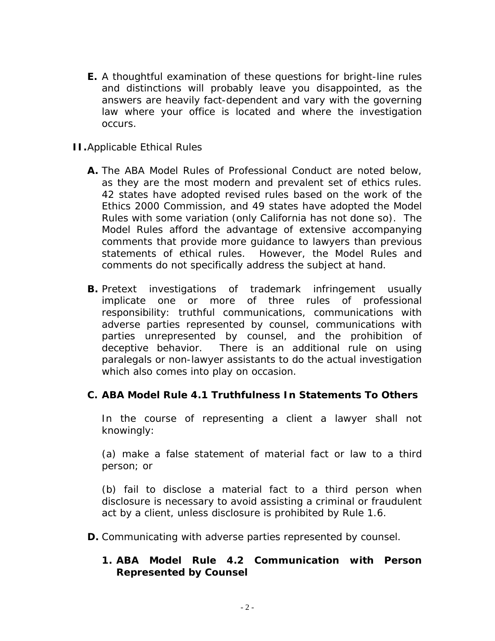- **E.** A thoughtful examination of these questions for bright-line rules and distinctions will probably leave you disappointed, as the answers are heavily fact-dependent and vary with the governing law where your office is located and where the investigation occurs.
- **II.**Applicable Ethical Rules
	- **A.** The ABA Model Rules of Professional Conduct are noted below, as they are the most modern and prevalent set of ethics rules. 42 states have adopted revised rules based on the work of the Ethics 2000 Commission, and 49 states have adopted the Model Rules with some variation (only California has not done so). The Model Rules afford the advantage of extensive accompanying comments that provide more guidance to lawyers than previous statements of ethical rules. However, the Model Rules and comments do not specifically address the subject at hand.
	- **B.** Pretext investigations of trademark infringement usually implicate one or more of three rules of professional responsibility: truthful communications, communications with adverse parties represented by counsel, communications with parties unrepresented by counsel, and the prohibition of deceptive behavior. There is an additional rule on using paralegals or non-lawyer assistants to do the actual investigation which also comes into play on occasion.

#### **C.** *ABA Model Rule 4.1 Truthfulness In Statements To Others*

In the course of representing a client a lawyer shall not knowingly:

(a) make a false statement of material fact or law to a third person; or

(b) fail to disclose a material fact to a third person when disclosure is necessary to avoid assisting a criminal or fraudulent act by a client, unless disclosure is prohibited by Rule 1.6.

**D.** Communicating with adverse parties represented by counsel.

#### **1.** *ABA Model Rule 4.2 Communication with Person Represented by Counsel*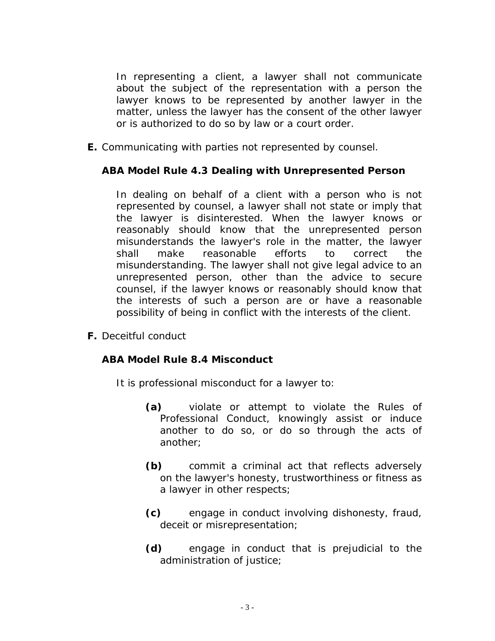In representing a client, a lawyer shall not communicate about the subject of the representation with a person the lawyer knows to be represented by another lawyer in the matter, unless the lawyer has the consent of the other lawyer or is authorized to do so by law or a court order.

**E.** Communicating with parties not represented by counsel.

# *ABA Model Rule 4.3 Dealing with Unrepresented Person*

In dealing on behalf of a client with a person who is not represented by counsel, a lawyer shall not state or imply that the lawyer is disinterested. When the lawyer knows or reasonably should know that the unrepresented person misunderstands the lawyer's role in the matter, the lawyer shall make reasonable efforts to correct the misunderstanding. The lawyer shall not give legal advice to an unrepresented person, other than the advice to secure counsel, if the lawyer knows or reasonably should know that the interests of such a person are or have a reasonable possibility of being in conflict with the interests of the client.

**F.** Deceitful conduct

#### *ABA Model Rule 8.4 Misconduct*

It is professional misconduct for a lawyer to:

- **(a)** violate or attempt to violate the Rules of Professional Conduct, knowingly assist or induce another to do so, or do so through the acts of another;
- **(b)** commit a criminal act that reflects adversely on the lawyer's honesty, trustworthiness or fitness as a lawyer in other respects;
- **(c)** engage in conduct involving dishonesty, fraud, deceit or misrepresentation;
- **(d)** engage in conduct that is prejudicial to the administration of justice;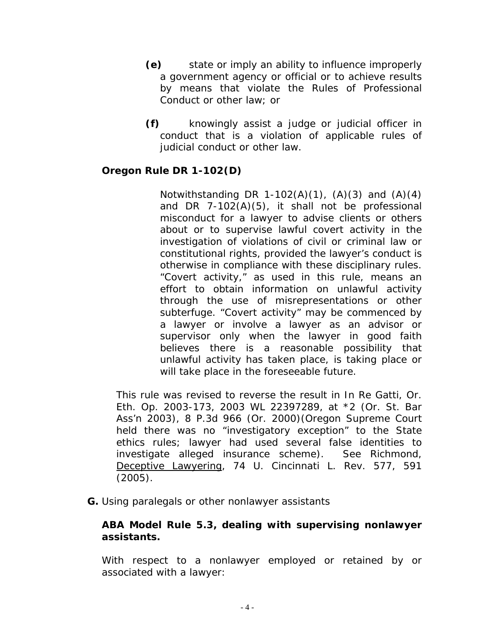- **(e)** state or imply an ability to influence improperly a government agency or official or to achieve results by means that violate the Rules of Professional Conduct or other law; or
- **(f)** knowingly assist a judge or judicial officer in conduct that is a violation of applicable rules of judicial conduct or other law.

#### *Oregon Rule DR 1-102(D)*

Notwithstanding DR 1-102(A)(1),  $(A)(3)$  and  $(A)(4)$ and DR 7-102(A)(5), it shall not be professional misconduct for a lawyer to advise clients or others about or to supervise lawful covert activity in the investigation of violations of civil or criminal law or constitutional rights, provided the lawyer's conduct is otherwise in compliance with these disciplinary rules. "Covert activity," as used in this rule, means an effort to obtain information on unlawful activity through the use of misrepresentations or other subterfuge. "Covert activity" may be commenced by a lawyer or involve a lawyer as an advisor or supervisor only when the lawyer in good faith believes there is a reasonable possibility that unlawful activity has taken place, is taking place or will take place in the foreseeable future.

This rule was revised to reverse the result in In Re Gatti, Or. Eth. Op. 2003-173, 2003 WL 22397289, at \*2 (Or. St. Bar Ass'n 2003), 8 P.3d 966 (Or. 2000)(Oregon Supreme Court held there was no "investigatory exception" to the State ethics rules; lawyer had used several false identities to investigate alleged insurance scheme). See Richmond, Deceptive Lawyering, 74 U. Cincinnati L. Rev. 577, 591 (2005).

**G.** Using paralegals or other nonlawyer assistants

#### *ABA Model Rule 5.3, dealing with supervising nonlawyer assistants.*

With respect to a nonlawyer employed or retained by or associated with a lawyer: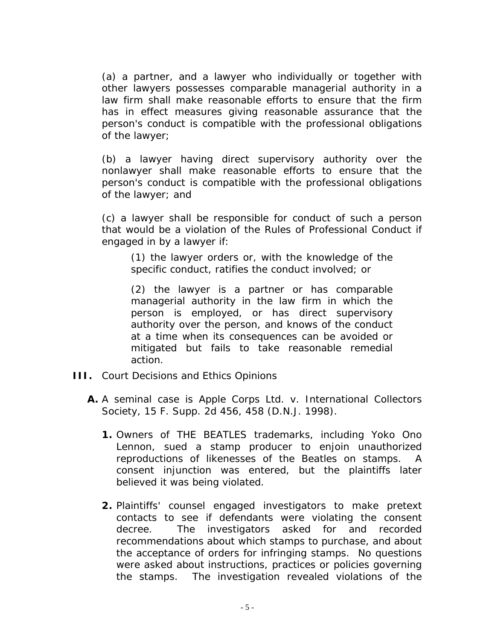(a) a partner, and a lawyer who individually or together with other lawyers possesses comparable managerial authority in a law firm shall make reasonable efforts to ensure that the firm has in effect measures giving reasonable assurance that the person's conduct is compatible with the professional obligations of the lawyer;

(b) a lawyer having direct supervisory authority over the nonlawyer shall make reasonable efforts to ensure that the person's conduct is compatible with the professional obligations of the lawyer; and

(c) a lawyer shall be responsible for conduct of such a person that would be a violation of the Rules of Professional Conduct if engaged in by a lawyer if:

(1) the lawyer orders or, with the knowledge of the specific conduct, ratifies the conduct involved; or

(2) the lawyer is a partner or has comparable managerial authority in the law firm in which the person is employed, or has direct supervisory authority over the person, and knows of the conduct at a time when its consequences can be avoided or mitigated but fails to take reasonable remedial action.

- **III.** Court Decisions and Ethics Opinions
	- **A.** A seminal case is *Apple Corps Ltd. v. International Collectors Society*, 15 F. Supp. 2d 456, 458 (D.N.J. 1998).
		- **1.** Owners of THE BEATLES trademarks, including Yoko Ono Lennon, sued a stamp producer to enjoin unauthorized reproductions of likenesses of the Beatles on stamps. A consent injunction was entered, but the plaintiffs later believed it was being violated.
		- **2.** Plaintiffs' counsel engaged investigators to make pretext contacts to see if defendants were violating the consent decree. The investigators asked for and recorded recommendations about which stamps to purchase, and about the acceptance of orders for infringing stamps. No questions were asked about instructions, practices or policies governing the stamps. The investigation revealed violations of the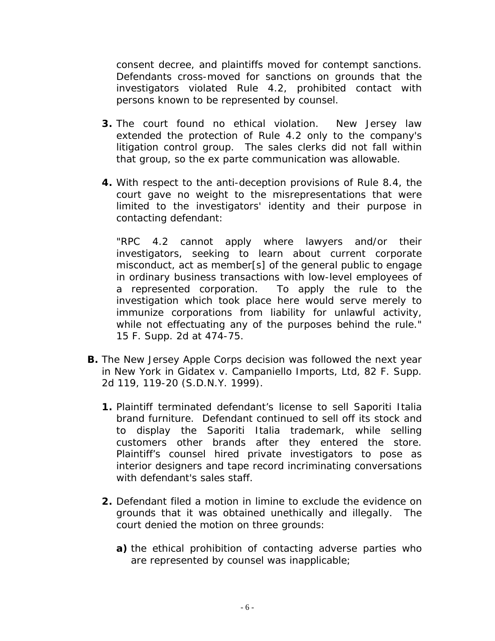consent decree, and plaintiffs moved for contempt sanctions. Defendants cross-moved for sanctions on grounds that the investigators violated Rule 4.2, prohibited contact with persons known to be represented by counsel.

- **3.** The court found no ethical violation. New Jersey law extended the protection of Rule 4.2 only to the company's litigation control group. The sales clerks did not fall within that group, so the *ex parte* communication was allowable.
- **4.** With respect to the anti-deception provisions of Rule 8.4, the court gave no weight to the misrepresentations that were limited to the investigators' identity and their purpose in contacting defendant:

"RPC 4.2 cannot apply where lawyers and/or their investigators, seeking to learn about current corporate misconduct, act as member[s] of the general public to engage in ordinary business transactions with low-level employees of a represented corporation. To apply the rule to the investigation which took place here would serve merely to immunize corporations from liability for unlawful activity, while not effectuating any of the purposes behind the rule." 15 F. Supp. 2d at 474-75.

- **B.** The New Jersey *Apple* Corps decision was followed the next year in New York in Gidatex *v. Campaniello Imports, Ltd*, 82 F. Supp. 2d 119, 119-20 (S.D.N.Y. 1999).
	- **1.** Plaintiff terminated defendant's license to sell Saporiti Italia brand furniture. Defendant continued to sell off its stock and to display the Saporiti Italia trademark, while selling customers other brands after they entered the store. Plaintiff's counsel hired private investigators to pose as interior designers and tape record incriminating conversations with defendant's sales staff.
	- **2.** Defendant filed a motion *in limine* to exclude the evidence on grounds that it was obtained unethically and illegally. The court denied the motion on three grounds:
		- **a)** the ethical prohibition of contacting adverse parties who are represented by counsel was inapplicable;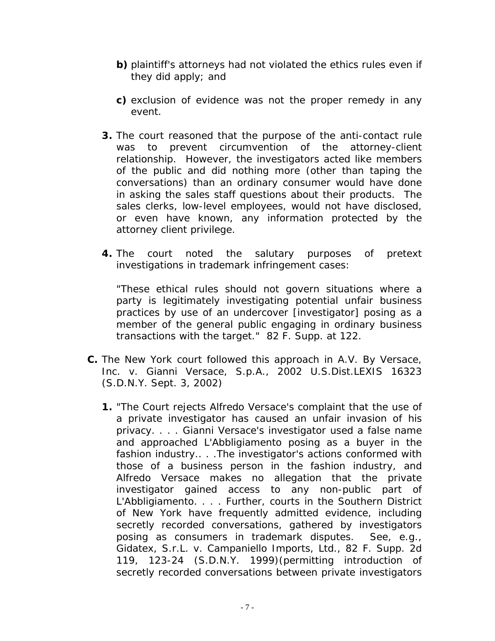- **b)** plaintiff's attorneys had not violated the ethics rules even if they did apply; and
- **c)** exclusion of evidence was not the proper remedy in any event.
- **3.** The court reasoned that the purpose of the anti-contact rule was to prevent circumvention of the attorney-client relationship. However, the investigators acted like members of the public and did nothing more (other than taping the conversations) than an ordinary consumer would have done in asking the sales staff questions about their products. The sales clerks, low-level employees, would not have disclosed, or even have known, any information protected by the attorney client privilege.
- **4.** The court noted the salutary purposes of pretext investigations in trademark infringement cases:

"These ethical rules should not govern situations where a party is legitimately investigating potential unfair business practices by use of an undercover [investigator] posing as a member of the general public engaging in ordinary business transactions with the target." 82 F. Supp. at 122.

- **C.** The New York court followed this approach in *A.V. By Versace, Inc. v. Gianni Versace, S.p.A.,* 2002 U.S.Dist.LEXIS 16323 (S.D.N.Y. Sept. 3, 2002)
	- **1.** "The Court rejects Alfredo Versace's complaint that the use of a private investigator has caused an unfair invasion of his privacy. . . . Gianni Versace's investigator used a false name and approached L'Abbligiamento posing as a buyer in the fashion industry.. . .The investigator's actions conformed with those of a business person in the fashion industry, and Alfredo Versace makes no allegation that the private investigator gained access to any non-public part of L'Abbligiamento. . . . Further, courts in the Southern District of New York have frequently admitted evidence, including secretly recorded conversations, gathered by investigators posing as consumers in trademark disputes. See, e.g., *Gidatex, S.r.L. v. Campaniello Imports, Ltd.,* 82 F. Supp. 2d 119, 123-24 (S.D.N.Y. 1999)(permitting introduction of secretly recorded conversations between private investigators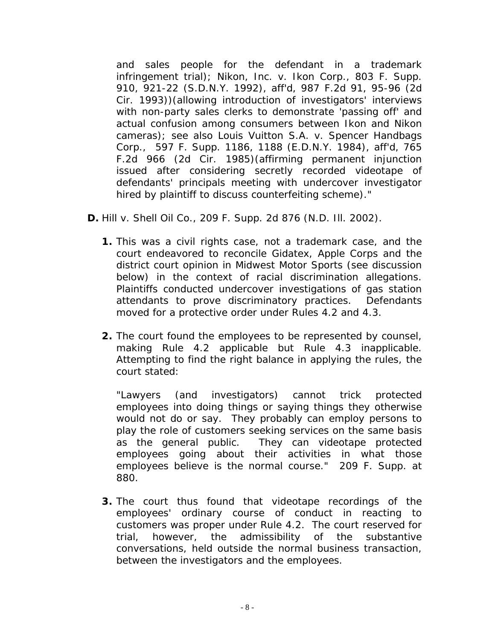and sales people for the defendant in a trademark infringement trial); *Nikon, Inc. v. Ikon Corp.,* 803 F. Supp. 910, 921-22 (S.D.N.Y. 1992), *aff'd*, 987 F.2d 91, 95-96 (2d Cir. 1993))(allowing introduction of investigators' interviews with non-party sales clerks to demonstrate 'passing off' and actual confusion among consumers between Ikon and Nikon cameras); see also *Louis Vuitton S.A. v. Spencer Handbags Corp.,* 597 F. Supp. 1186, 1188 (E.D.N.Y. 1984), *aff'd*, 765 F.2d 966 (2d Cir. 1985)(affirming permanent injunction issued after considering secretly recorded videotape of defendants' principals meeting with undercover investigator hired by plaintiff to discuss counterfeiting scheme)."

- **D.** *Hill v. Shell Oil Co*., 209 F. Supp. 2d 876 (N.D. Ill. 2002).
	- **1.** This was a civil rights case, not a trademark case, and the court endeavored to reconcile *Gidatex, Apple Corps* and the district court opinion in *Midwest Motor Sports* (see discussion below) in the context of racial discrimination allegations. Plaintiffs conducted undercover investigations of gas station attendants to prove discriminatory practices. Defendants moved for a protective order under Rules 4.2 and 4.3.
	- **2.** The court found the employees to be represented by counsel, making Rule 4.2 applicable but Rule 4.3 inapplicable. Attempting to find the right balance in applying the rules, the court stated:

"Lawyers (and investigators) cannot trick protected employees into doing things or saying things they otherwise would not do or say. They probably can employ persons to play the role of customers seeking services on the same basis as the general public. They can videotape protected employees going about their activities in what those employees believe is the normal course." 209 F. Supp. at 880.

**3.** The court thus found that videotape recordings of the employees' ordinary course of conduct in reacting to customers was proper under Rule 4.2. The court reserved for trial, however, the admissibility of the substantive conversations, held outside the normal business transaction, between the investigators and the employees.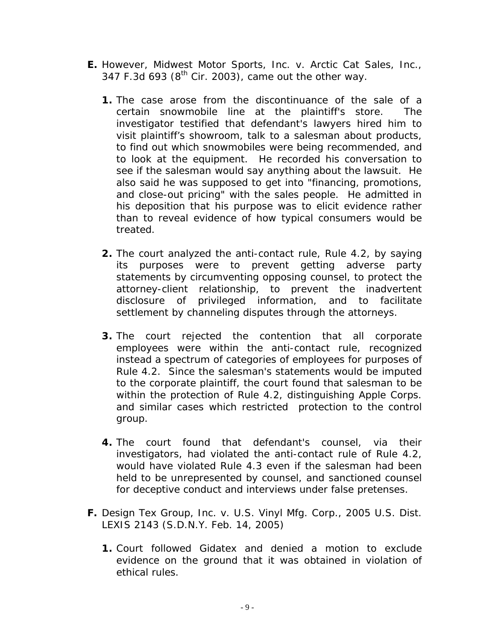- **E.** However, *Midwest Motor Sports, Inc. v. Arctic Cat Sales, Inc.*, 347 F.3d 693 ( $8<sup>th</sup>$  Cir. 2003), came out the other way.
	- **1.** The case arose from the discontinuance of the sale of a certain snowmobile line at the plaintiff's store. The investigator testified that defendant's lawyers hired him to visit plaintiff's showroom, talk to a salesman about products, to find out which snowmobiles were being recommended, and to look at the equipment. He recorded his conversation to see if the salesman would say anything about the lawsuit. He also said he was supposed to get into "financing, promotions, and close-out pricing" with the sales people. He admitted in his deposition that his purpose was to elicit evidence rather than to reveal evidence of how typical consumers would be treated.
	- **2.** The court analyzed the anti-contact rule, Rule 4.2, by saying its purposes were to prevent getting adverse party statements by circumventing opposing counsel, to protect the attorney-client relationship, to prevent the inadvertent disclosure of privileged information, and to facilitate settlement by channeling disputes through the attorneys.
	- **3.** The court rejected the contention that all corporate employees were within the anti-contact rule, recognized instead a spectrum of categories of employees for purposes of Rule 4.2. Since the salesman's statements would be imputed to the corporate plaintiff, the court found that salesman to be within the protection of Rule 4.2, distinguishing *Apple Corps*. and similar cases which restricted protection to the control group.
	- **4.** The court found that defendant's counsel, via their investigators, had violated the anti-contact rule of Rule 4.2, would have violated Rule 4.3 even if the salesman had been held to be unrepresented by counsel, and sanctioned counsel for deceptive conduct and interviews under false pretenses.
- **F.** *Design Tex Group, Inc. v. U.S. Vinyl Mfg. Corp.*, 2005 U.S. Dist. LEXIS 2143 (S.D.N.Y. Feb. 14, 2005)
	- **1.** Court followed *Gidatex* and denied a motion to exclude evidence on the ground that it was obtained in violation of ethical rules.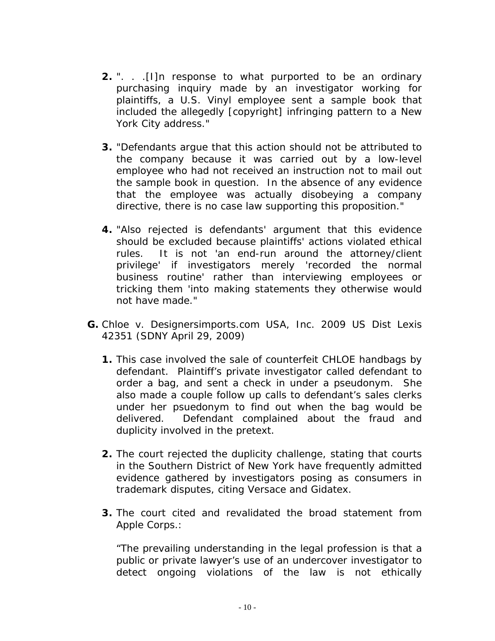- **2.** ". . .[I]n response to what purported to be an ordinary purchasing inquiry made by an investigator working for plaintiffs, a U.S. Vinyl employee sent a sample book that included the allegedly [copyright] infringing pattern to a New York City address."
- **3.** "Defendants argue that this action should not be attributed to the company because it was carried out by a low-level employee who had not received an instruction not to mail out the sample book in question. In the absence of any evidence that the employee was actually disobeying a company directive, there is no case law supporting this proposition."
- **4.** "Also rejected is defendants' argument that this evidence should be excluded because plaintiffs' actions violated ethical rules. It is not 'an end-run around the attorney/client privilege' if investigators merely 'recorded the normal business routine' rather than interviewing employees or tricking them 'into making statements they otherwise would not have made."
- **G.** *Chloe v. Designersimports.com USA, Inc.* 2009 US Dist Lexis 42351 (SDNY April 29, 2009)
	- **1.** This case involved the sale of counterfeit CHLOE handbags by defendant. Plaintiff's private investigator called defendant to order a bag, and sent a check in under a pseudonym. She also made a couple follow up calls to defendant's sales clerks under her psuedonym to find out when the bag would be delivered. Defendant complained about the fraud and duplicity involved in the pretext.
	- **2.** The court rejected the duplicity challenge, stating that courts in the Southern District of New York have frequently admitted evidence gathered by investigators posing as consumers in trademark disputes, citing *Versace* and *Gidatex*.
	- **3.** The court cited and revalidated the broad statement from *Apple Corps*.:

"The prevailing understanding in the legal profession is that a public or private lawyer's use of an undercover investigator to detect ongoing violations of the law is not ethically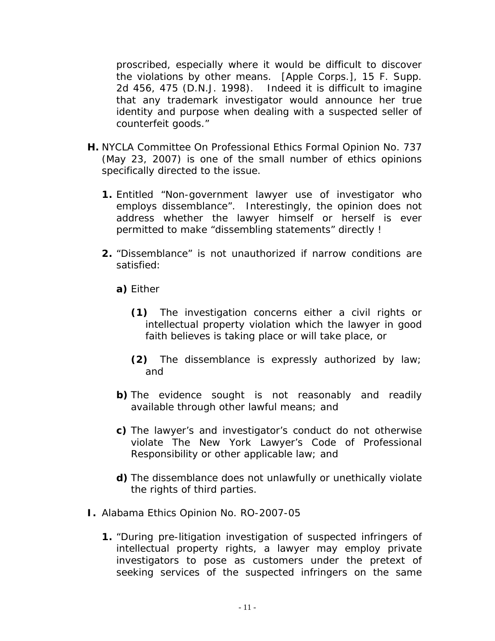proscribed, especially where it would be difficult to discover the violations by other means. [*Apple Corps*.], 15 F. Supp. 2d 456, 475 (D.N.J. 1998). Indeed it is difficult to imagine that any trademark investigator would announce her true identity and purpose when dealing with a suspected seller of counterfeit goods."

- **H.** NYCLA Committee On Professional Ethics Formal Opinion No. 737 (May 23, 2007) is one of the small number of ethics opinions specifically directed to the issue.
	- **1.** Entitled "Non-government lawyer use of investigator who employs dissemblance". Interestingly, the opinion does not address whether the lawyer himself or herself is ever permitted to make "dissembling statements" directly !
	- **2.** "Dissemblance" is not unauthorized if narrow conditions are satisfied:
		- **a)** Either
			- **(1)** The investigation concerns either a civil rights or intellectual property violation which the lawyer in good faith believes is taking place or will take place, or
			- **(2)** The dissemblance is expressly authorized by law; and
		- **b)** The evidence sought is not reasonably and readily available through other lawful means; and
		- **c)** The lawyer's and investigator's conduct do not otherwise violate The New York Lawyer's Code of Professional Responsibility or other applicable law; and
		- **d)** The dissemblance does not unlawfully or unethically violate the rights of third parties.
- **I.** Alabama Ethics Opinion No. RO-2007-05
	- **1.** "During pre-litigation investigation of suspected infringers of intellectual property rights, a lawyer may employ private investigators to pose as customers under the pretext of seeking services of the suspected infringers on the same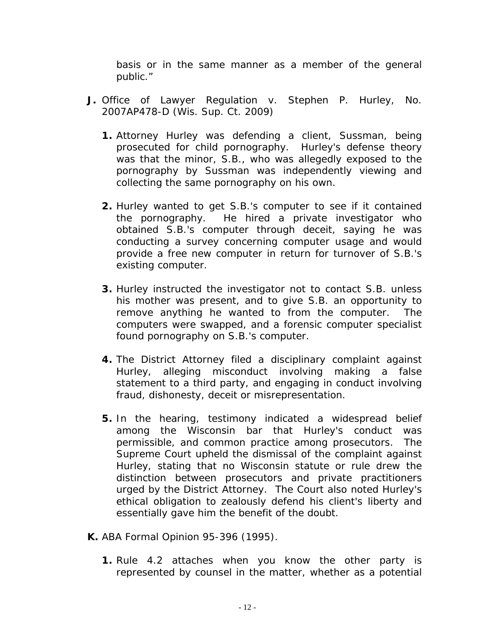basis or in the same manner as a member of the general public."

- **J.** *Office of Lawyer Regulation v. Stephen P. Hurley*, No. 2007AP478-D (Wis. Sup. Ct. 2009)
	- **1.** Attorney Hurley was defending a client, Sussman, being prosecuted for child pornography. Hurley's defense theory was that the minor, S.B., who was allegedly exposed to the pornography by Sussman was independently viewing and collecting the same pornography on his own.
	- **2.** Hurley wanted to get S.B.'s computer to see if it contained the pornography. He hired a private investigator who obtained S.B.'s computer through deceit, saying he was conducting a survey concerning computer usage and would provide a free new computer in return for turnover of S.B.'s existing computer.
	- **3.** Hurley instructed the investigator not to contact S.B. unless his mother was present, and to give S.B. an opportunity to remove anything he wanted to from the computer. The computers were swapped, and a forensic computer specialist found pornography on S.B.'s computer.
	- **4.** The District Attorney filed a disciplinary complaint against Hurley, alleging misconduct involving making a false statement to a third party, and engaging in conduct involving fraud, dishonesty, deceit or misrepresentation.
	- **5.** In the hearing, testimony indicated a widespread belief among the Wisconsin bar that Hurley's conduct was permissible, and common practice among prosecutors. The Supreme Court upheld the dismissal of the complaint against Hurley, stating that no Wisconsin statute or rule drew the distinction between prosecutors and private practitioners urged by the District Attorney. The Court also noted Hurley's ethical obligation to zealously defend his client's liberty and essentially gave him the benefit of the doubt.
- **K.** ABA Formal Opinion 95-396 (1995).
	- **1.** Rule 4.2 attaches when you know the other party is represented by counsel in the matter, whether as a potential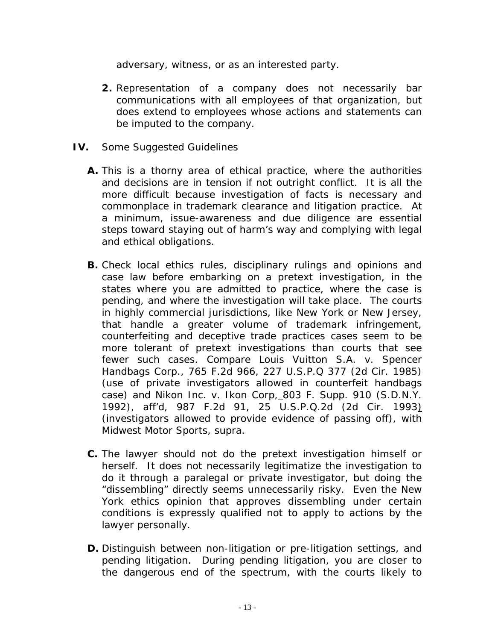adversary, witness, or as an interested party.

- **2.** Representation of a company does not necessarily bar communications with all employees of that organization, but does extend to employees whose actions and statements can be imputed to the company.
- **IV.** Some Suggested Guidelines
	- **A.** This is a thorny area of ethical practice, where the authorities and decisions are in tension if not outright conflict. It is all the more difficult because investigation of facts is necessary and commonplace in trademark clearance and litigation practice. At a minimum, issue-awareness and due diligence are essential steps toward staying out of harm's way and complying with legal and ethical obligations.
	- **B.** Check local ethics rules, disciplinary rulings and opinions and case law before embarking on a pretext investigation, in the states where you are admitted to practice, where the case is pending, and where the investigation will take place. The courts in highly commercial jurisdictions, like New York or New Jersey, that handle a greater volume of trademark infringement, counterfeiting and deceptive trade practices cases seem to be more tolerant of pretext investigations than courts that see fewer such cases. *Compare Louis Vuitton S.A. v. Spencer Handbags Corp*., 765 F.2d 966, 227 U.S.P.Q 377 (2d Cir. 1985) (use of private investigators allowed in counterfeit handbags case) *and Nikon Inc. v. Ikon Corp,* 803 F. Supp. 910 (S.D.N.Y. 1992), *aff'd*, 987 F.2d 91, 25 U.S.P.Q.2d (2d Cir. 1993) (investigators allowed to provide evidence of passing off), *with Midwest Motor Sports, supra*.
	- **C.** The lawyer should not do the pretext investigation himself or herself. It does not necessarily legitimatize the investigation to do it through a paralegal or private investigator, but doing the "dissembling" directly seems unnecessarily risky. Even the New York ethics opinion that approves dissembling under certain conditions is expressly qualified not to apply to actions by the lawyer personally.
	- **D.** Distinguish between non-litigation or pre-litigation settings, and pending litigation. During pending litigation, you are closer to the dangerous end of the spectrum, with the courts likely to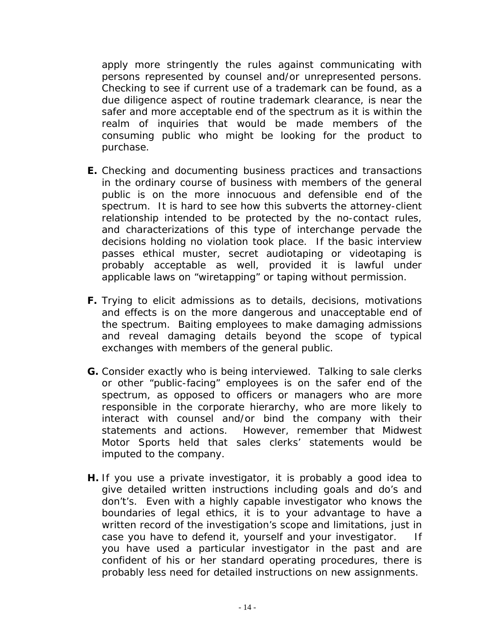apply more stringently the rules against communicating with persons represented by counsel and/or unrepresented persons. Checking to see if current use of a trademark can be found, as a due diligence aspect of routine trademark clearance, is near the safer and more acceptable end of the spectrum as it is within the realm of inquiries that would be made members of the consuming public who might be looking for the product to purchase.

- **E.** Checking and documenting business practices and transactions in the ordinary course of business with members of the general public is on the more innocuous and defensible end of the spectrum. It is hard to see how this subverts the attorney-client relationship intended to be protected by the no-contact rules, and characterizations of this type of interchange pervade the decisions holding no violation took place. If the basic interview passes ethical muster, secret audiotaping or videotaping is probably acceptable as well, provided it is lawful under applicable laws on "wiretapping" or taping without permission.
- **F.** Trying to elicit admissions as to details, decisions, motivations and effects is on the more dangerous and unacceptable end of the spectrum. Baiting employees to make damaging admissions and reveal damaging details beyond the scope of typical exchanges with members of the general public.
- **G.** Consider exactly who is being interviewed. Talking to sale clerks or other "public-facing" employees is on the safer end of the spectrum, as opposed to officers or managers who are more responsible in the corporate hierarchy, who are more likely to interact with counsel and/or bind the company with their statements and actions. However, remember that *Midwest Motor Sports* held that sales clerks' statements would be imputed to the company.
- **H.** If you use a private investigator, it is probably a good idea to give detailed written instructions including goals and do's and don't's. Even with a highly capable investigator who knows the boundaries of legal ethics, it is to your advantage to have a written record of the investigation's scope and limitations, just in case you have to defend it, yourself and your investigator. If you have used a particular investigator in the past and are confident of his or her standard operating procedures, there is probably less need for detailed instructions on new assignments.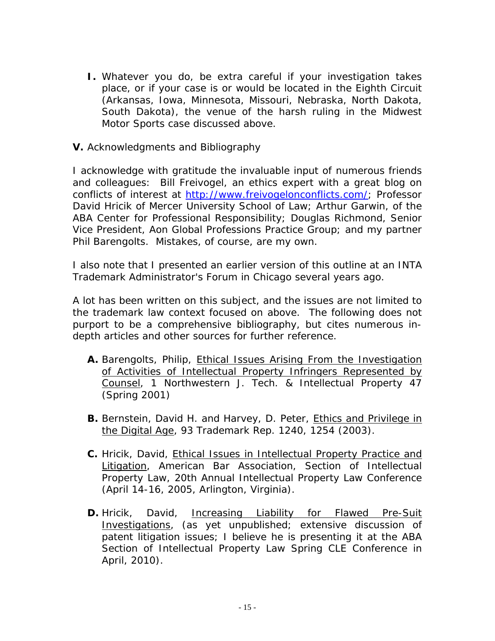- **I.** Whatever you do, be extra careful if your investigation takes place, or if your case is or would be located in the Eighth Circuit (Arkansas, Iowa, Minnesota, Missouri, Nebraska, North Dakota, South Dakota), the venue of the harsh ruling in the *Midwest Motor Sports* case discussed above.
- **V.** Acknowledgments and Bibliography

I acknowledge with gratitude the invaluable input of numerous friends and colleagues: Bill Freivogel, an ethics expert with a great blog on conflicts of interest at http://[www.frei](KWWSZZZIUHLYRJHORQFRQIOLFWVFRP3URIHVVRU)[vogelonconflicts.com/; Professor](ZZZIUHLYRJHORQFRQIOLFWVFRP3URIHVVRU)  David Hricik of Mercer University School of Law; Arthur Garwin, of the ABA Center for Professional Responsibility; Douglas Richmond, Senior Vice President, Aon Global Professions Practice Group; and my partner Phil Barengolts. Mistakes, of course, are my own.

I also note that I presented an earlier version of this outline at an INTA Trademark Administrator's Forum in Chicago several years ago.

A lot has been written on this subject, and the issues are not limited to the trademark law context focused on above. The following does not purport to be a comprehensive bibliography, but cites numerous indepth articles and other sources for further reference.

- **A.** Barengolts, Philip, Ethical Issues Arising From the Investigation of Activities of Intellectual Property Infringers Represented by Counsel, 1 Northwestern J. Tech. & Intellectual Property 47 (Spring 2001)
- **B.** Bernstein, David H. and Harvey, D. Peter, Ethics and Privilege in the Digital Age, 93 Trademark Rep. 1240, 1254 (2003).
- **C.** Hricik, David, Ethical Issues in Intellectual Property Practice and Litigation, American Bar Association, Section of Intellectual Property Law, 20th Annual Intellectual Property Law Conference (April 14-16, 2005, Arlington, Virginia).
- **D.** Hricik, David, Increasing Liability for Flawed Pre-Suit Investigations, (as yet unpublished; extensive discussion of patent litigation issues; I believe he is presenting it at the ABA Section of Intellectual Property Law Spring CLE Conference in April, 2010).